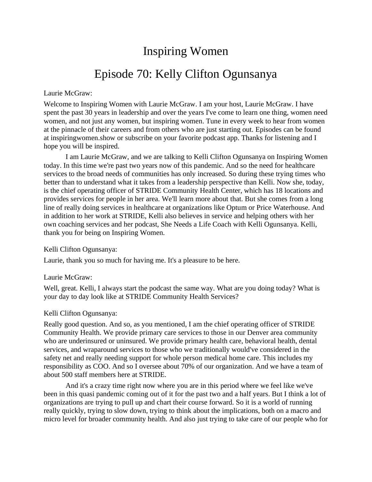# Inspiring Women

# Episode 70: Kelly Clifton Ogunsanya

#### Laurie McGraw:

Welcome to Inspiring Women with Laurie McGraw. I am your host, Laurie McGraw. I have spent the past 30 years in leadership and over the years I've come to learn one thing, women need women, and not just any women, but inspiring women. Tune in every week to hear from women at the pinnacle of their careers and from others who are just starting out. Episodes can be found at inspiringwomen.show or subscribe on your favorite podcast app. Thanks for listening and I hope you will be inspired.

I am Laurie McGraw, and we are talking to Kelli Clifton Ogunsanya on Inspiring Women today. In this time we're past two years now of this pandemic. And so the need for healthcare services to the broad needs of communities has only increased. So during these trying times who better than to understand what it takes from a leadership perspective than Kelli. Now she, today, is the chief operating officer of STRIDE Community Health Center, which has 18 locations and provides services for people in her area. We'll learn more about that. But she comes from a long line of really doing services in healthcare at organizations like Optum or Price Waterhouse. And in addition to her work at STRIDE, Kelli also believes in service and helping others with her own coaching services and her podcast, She Needs a Life Coach with Kelli Ogunsanya. Kelli, thank you for being on Inspiring Women.

#### Kelli Clifton Ogunsanya:

Laurie, thank you so much for having me. It's a pleasure to be here.

#### Laurie McGraw:

Well, great. Kelli, I always start the podcast the same way. What are you doing today? What is your day to day look like at STRIDE Community Health Services?

#### Kelli Clifton Ogunsanya:

Really good question. And so, as you mentioned, I am the chief operating officer of STRIDE Community Health. We provide primary care services to those in our Denver area community who are underinsured or uninsured. We provide primary health care, behavioral health, dental services, and wraparound services to those who we traditionally would've considered in the safety net and really needing support for whole person medical home care. This includes my responsibility as COO. And so I oversee about 70% of our organization. And we have a team of about 500 staff members here at STRIDE.

And it's a crazy time right now where you are in this period where we feel like we've been in this quasi pandemic coming out of it for the past two and a half years. But I think a lot of organizations are trying to pull up and chart their course forward. So it is a world of running really quickly, trying to slow down, trying to think about the implications, both on a macro and micro level for broader community health. And also just trying to take care of our people who for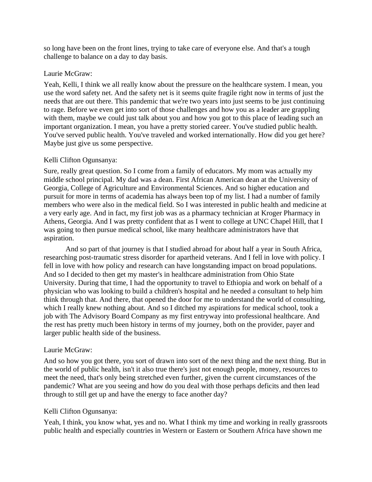so long have been on the front lines, trying to take care of everyone else. And that's a tough challenge to balance on a day to day basis.

## Laurie McGraw:

Yeah, Kelli, I think we all really know about the pressure on the healthcare system. I mean, you use the word safety net. And the safety net is it seems quite fragile right now in terms of just the needs that are out there. This pandemic that we're two years into just seems to be just continuing to rage. Before we even get into sort of those challenges and how you as a leader are grappling with them, maybe we could just talk about you and how you got to this place of leading such an important organization. I mean, you have a pretty storied career. You've studied public health. You've served public health. You've traveled and worked internationally. How did you get here? Maybe just give us some perspective.

## Kelli Clifton Ogunsanya:

Sure, really great question. So I come from a family of educators. My mom was actually my middle school principal. My dad was a dean. First African American dean at the University of Georgia, College of Agriculture and Environmental Sciences. And so higher education and pursuit for more in terms of academia has always been top of my list. I had a number of family members who were also in the medical field. So I was interested in public health and medicine at a very early age. And in fact, my first job was as a pharmacy technician at Kroger Pharmacy in Athens, Georgia. And I was pretty confident that as I went to college at UNC Chapel Hill, that I was going to then pursue medical school, like many healthcare administrators have that aspiration.

And so part of that journey is that I studied abroad for about half a year in South Africa, researching post-traumatic stress disorder for apartheid veterans. And I fell in love with policy. I fell in love with how policy and research can have longstanding impact on broad populations. And so I decided to then get my master's in healthcare administration from Ohio State University. During that time, I had the opportunity to travel to Ethiopia and work on behalf of a physician who was looking to build a children's hospital and he needed a consultant to help him think through that. And there, that opened the door for me to understand the world of consulting, which I really knew nothing about. And so I ditched my aspirations for medical school, took a job with The Advisory Board Company as my first entryway into professional healthcare. And the rest has pretty much been history in terms of my journey, both on the provider, payer and larger public health side of the business.

## Laurie McGraw:

And so how you got there, you sort of drawn into sort of the next thing and the next thing. But in the world of public health, isn't it also true there's just not enough people, money, resources to meet the need, that's only being stretched even further, given the current circumstances of the pandemic? What are you seeing and how do you deal with those perhaps deficits and then lead through to still get up and have the energy to face another day?

## Kelli Clifton Ogunsanya:

Yeah, I think, you know what, yes and no. What I think my time and working in really grassroots public health and especially countries in Western or Eastern or Southern Africa have shown me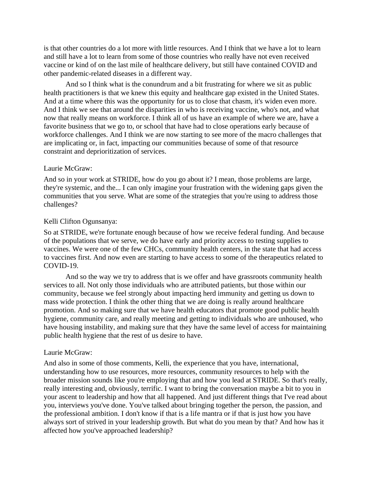is that other countries do a lot more with little resources. And I think that we have a lot to learn and still have a lot to learn from some of those countries who really have not even received vaccine or kind of on the last mile of healthcare delivery, but still have contained COVID and other pandemic-related diseases in a different way.

And so I think what is the conundrum and a bit frustrating for where we sit as public health practitioners is that we knew this equity and healthcare gap existed in the United States. And at a time where this was the opportunity for us to close that chasm, it's widen even more. And I think we see that around the disparities in who is receiving vaccine, who's not, and what now that really means on workforce. I think all of us have an example of where we are, have a favorite business that we go to, or school that have had to close operations early because of workforce challenges. And I think we are now starting to see more of the macro challenges that are implicating or, in fact, impacting our communities because of some of that resource constraint and deprioritization of services.

#### Laurie McGraw:

And so in your work at STRIDE, how do you go about it? I mean, those problems are large, they're systemic, and the... I can only imagine your frustration with the widening gaps given the communities that you serve. What are some of the strategies that you're using to address those challenges?

#### Kelli Clifton Ogunsanya:

So at STRIDE, we're fortunate enough because of how we receive federal funding. And because of the populations that we serve, we do have early and priority access to testing supplies to vaccines. We were one of the few CHCs, community health centers, in the state that had access to vaccines first. And now even are starting to have access to some of the therapeutics related to COVID-19.

And so the way we try to address that is we offer and have grassroots community health services to all. Not only those individuals who are attributed patients, but those within our community, because we feel strongly about impacting herd immunity and getting us down to mass wide protection. I think the other thing that we are doing is really around healthcare promotion. And so making sure that we have health educators that promote good public health hygiene, community care, and really meeting and getting to individuals who are unhoused, who have housing instability, and making sure that they have the same level of access for maintaining public health hygiene that the rest of us desire to have.

#### Laurie McGraw:

And also in some of those comments, Kelli, the experience that you have, international, understanding how to use resources, more resources, community resources to help with the broader mission sounds like you're employing that and how you lead at STRIDE. So that's really, really interesting and, obviously, terrific. I want to bring the conversation maybe a bit to you in your ascent to leadership and how that all happened. And just different things that I've read about you, interviews you've done. You've talked about bringing together the person, the passion, and the professional ambition. I don't know if that is a life mantra or if that is just how you have always sort of strived in your leadership growth. But what do you mean by that? And how has it affected how you've approached leadership?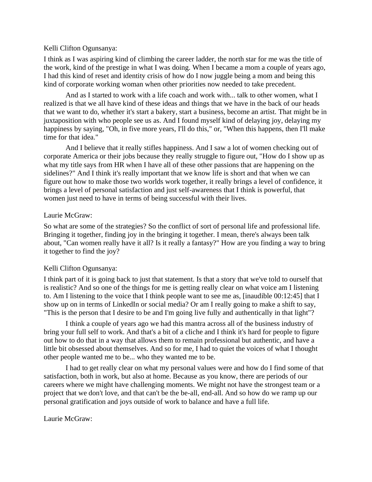## Kelli Clifton Ogunsanya:

I think as I was aspiring kind of climbing the career ladder, the north star for me was the title of the work, kind of the prestige in what I was doing. When I became a mom a couple of years ago, I had this kind of reset and identity crisis of how do I now juggle being a mom and being this kind of corporate working woman when other priorities now needed to take precedent.

And as I started to work with a life coach and work with... talk to other women, what I realized is that we all have kind of these ideas and things that we have in the back of our heads that we want to do, whether it's start a bakery, start a business, become an artist. That might be in juxtaposition with who people see us as. And I found myself kind of delaying joy, delaying my happiness by saying, "Oh, in five more years, I'll do this," or, "When this happens, then I'll make time for that idea."

And I believe that it really stifles happiness. And I saw a lot of women checking out of corporate America or their jobs because they really struggle to figure out, "How do I show up as what my title says from HR when I have all of these other passions that are happening on the sidelines?" And I think it's really important that we know life is short and that when we can figure out how to make those two worlds work together, it really brings a level of confidence, it brings a level of personal satisfaction and just self-awareness that I think is powerful, that women just need to have in terms of being successful with their lives.

# Laurie McGraw:

So what are some of the strategies? So the conflict of sort of personal life and professional life. Bringing it together, finding joy in the bringing it together. I mean, there's always been talk about, "Can women really have it all? Is it really a fantasy?" How are you finding a way to bring it together to find the joy?

# Kelli Clifton Ogunsanya:

I think part of it is going back to just that statement. Is that a story that we've told to ourself that is realistic? And so one of the things for me is getting really clear on what voice am I listening to. Am I listening to the voice that I think people want to see me as, [inaudible 00:12:45] that I show up on in terms of LinkedIn or social media? Or am I really going to make a shift to say, "This is the person that I desire to be and I'm going live fully and authentically in that light"?

I think a couple of years ago we had this mantra across all of the business industry of bring your full self to work. And that's a bit of a cliche and I think it's hard for people to figure out how to do that in a way that allows them to remain professional but authentic, and have a little bit obsessed about themselves. And so for me, I had to quiet the voices of what I thought other people wanted me to be... who they wanted me to be.

I had to get really clear on what my personal values were and how do I find some of that satisfaction, both in work, but also at home. Because as you know, there are periods of our careers where we might have challenging moments. We might not have the strongest team or a project that we don't love, and that can't be the be-all, end-all. And so how do we ramp up our personal gratification and joys outside of work to balance and have a full life.

Laurie McGraw: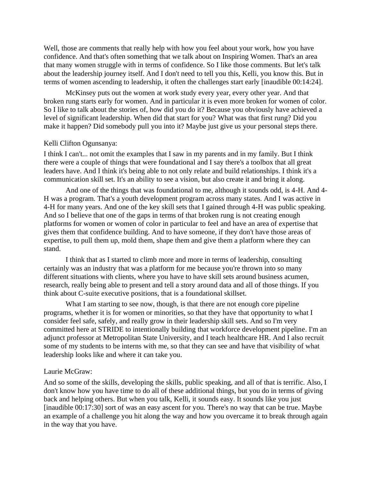Well, those are comments that really help with how you feel about your work, how you have confidence. And that's often something that we talk about on Inspiring Women. That's an area that many women struggle with in terms of confidence. So I like those comments. But let's talk about the leadership journey itself. And I don't need to tell you this, Kelli, you know this. But in terms of women ascending to leadership, it often the challenges start early [inaudible 00:14:24].

McKinsey puts out the women at work study every year, every other year. And that broken rung starts early for women. And in particular it is even more broken for women of color. So I like to talk about the stories of, how did you do it? Because you obviously have achieved a level of significant leadership. When did that start for you? What was that first rung? Did you make it happen? Did somebody pull you into it? Maybe just give us your personal steps there.

#### Kelli Clifton Ogunsanya:

I think I can't... not omit the examples that I saw in my parents and in my family. But I think there were a couple of things that were foundational and I say there's a toolbox that all great leaders have. And I think it's being able to not only relate and build relationships. I think it's a communication skill set. It's an ability to see a vision, but also create it and bring it along.

And one of the things that was foundational to me, although it sounds odd, is 4-H. And 4- H was a program. That's a youth development program across many states. And I was active in 4-H for many years. And one of the key skill sets that I gained through 4-H was public speaking. And so I believe that one of the gaps in terms of that broken rung is not creating enough platforms for women or women of color in particular to feel and have an area of expertise that gives them that confidence building. And to have someone, if they don't have those areas of expertise, to pull them up, mold them, shape them and give them a platform where they can stand.

I think that as I started to climb more and more in terms of leadership, consulting certainly was an industry that was a platform for me because you're thrown into so many different situations with clients, where you have to have skill sets around business acumen, research, really being able to present and tell a story around data and all of those things. If you think about C-suite executive positions, that is a foundational skillset.

What I am starting to see now, though, is that there are not enough core pipeline programs, whether it is for women or minorities, so that they have that opportunity to what I consider feel safe, safely, and really grow in their leadership skill sets. And so I'm very committed here at STRIDE to intentionally building that workforce development pipeline. I'm an adjunct professor at Metropolitan State University, and I teach healthcare HR. And I also recruit some of my students to be interns with me, so that they can see and have that visibility of what leadership looks like and where it can take you.

#### Laurie McGraw:

And so some of the skills, developing the skills, public speaking, and all of that is terrific. Also, I don't know how you have time to do all of these additional things, but you do in terms of giving back and helping others. But when you talk, Kelli, it sounds easy. It sounds like you just [inaudible 00:17:30] sort of was an easy ascent for you. There's no way that can be true. Maybe an example of a challenge you hit along the way and how you overcame it to break through again in the way that you have.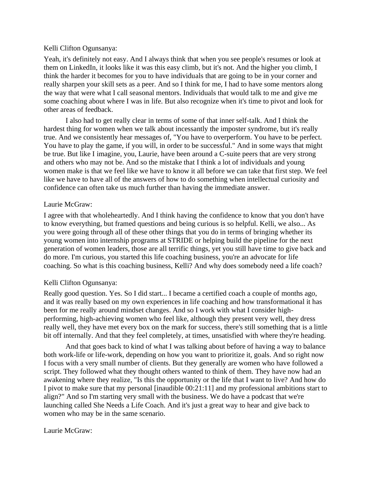#### Kelli Clifton Ogunsanya:

Yeah, it's definitely not easy. And I always think that when you see people's resumes or look at them on LinkedIn, it looks like it was this easy climb, but it's not. And the higher you climb, I think the harder it becomes for you to have individuals that are going to be in your corner and really sharpen your skill sets as a peer. And so I think for me, I had to have some mentors along the way that were what I call seasonal mentors. Individuals that would talk to me and give me some coaching about where I was in life. But also recognize when it's time to pivot and look for other areas of feedback.

I also had to get really clear in terms of some of that inner self-talk. And I think the hardest thing for women when we talk about incessantly the imposter syndrome, but it's really true. And we consistently hear messages of, "You have to overperform. You have to be perfect. You have to play the game, if you will, in order to be successful." And in some ways that might be true. But like I imagine, you, Laurie, have been around a C-suite peers that are very strong and others who may not be. And so the mistake that I think a lot of individuals and young women make is that we feel like we have to know it all before we can take that first step. We feel like we have to have all of the answers of how to do something when intellectual curiosity and confidence can often take us much further than having the immediate answer.

## Laurie McGraw:

I agree with that wholeheartedly. And I think having the confidence to know that you don't have to know everything, but framed questions and being curious is so helpful. Kelli, we also... As you were going through all of these other things that you do in terms of bringing whether its young women into internship programs at STRIDE or helping build the pipeline for the next generation of women leaders, those are all terrific things, yet you still have time to give back and do more. I'm curious, you started this life coaching business, you're an advocate for life coaching. So what is this coaching business, Kelli? And why does somebody need a life coach?

## Kelli Clifton Ogunsanya:

Really good question. Yes. So I did start... I became a certified coach a couple of months ago, and it was really based on my own experiences in life coaching and how transformational it has been for me really around mindset changes. And so I work with what I consider highperforming, high-achieving women who feel like, although they present very well, they dress really well, they have met every box on the mark for success, there's still something that is a little bit off internally. And that they feel completely, at times, unsatisfied with where they're heading.

And that goes back to kind of what I was talking about before of having a way to balance both work-life or life-work, depending on how you want to prioritize it, goals. And so right now I focus with a very small number of clients. But they generally are women who have followed a script. They followed what they thought others wanted to think of them. They have now had an awakening where they realize, "Is this the opportunity or the life that I want to live? And how do I pivot to make sure that my personal [inaudible 00:21:11] and my professional ambitions start to align?" And so I'm starting very small with the business. We do have a podcast that we're launching called She Needs a Life Coach. And it's just a great way to hear and give back to women who may be in the same scenario.

## Laurie McGraw: